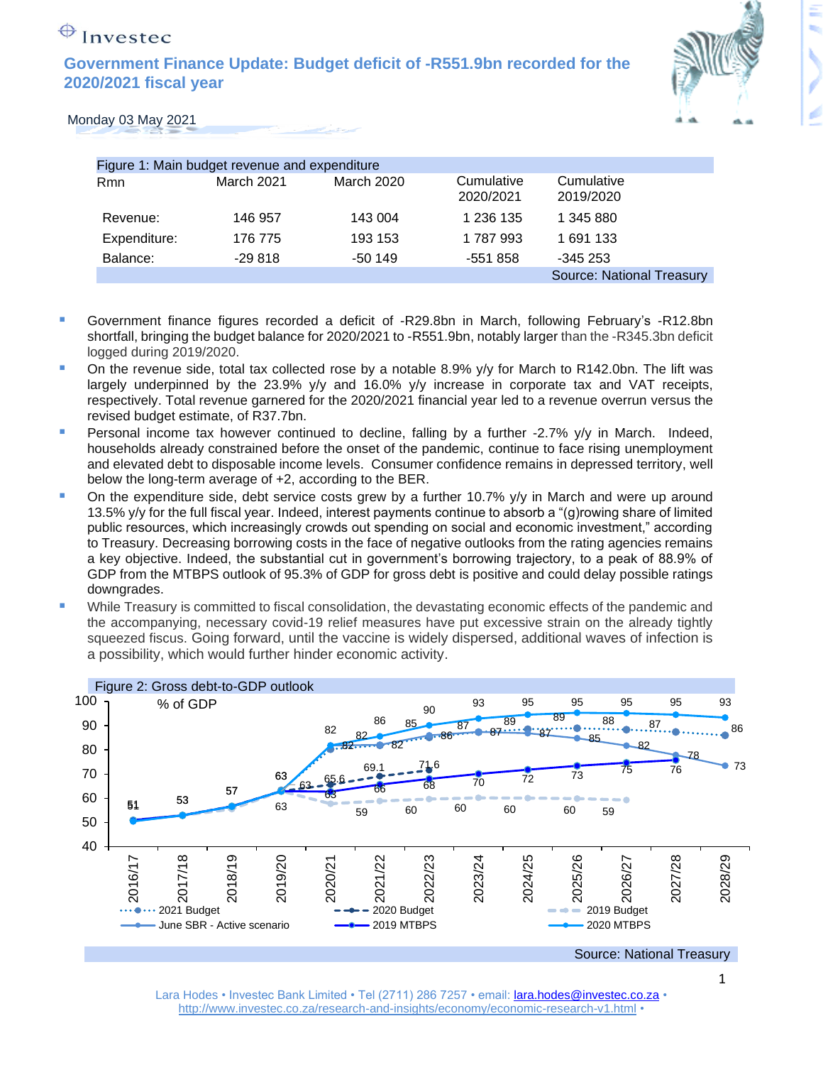**Government Finance Update: Budget deficit of -R551.9bn recorded for the 2020/2021 fiscal year**



#### Monday 03 May 2021

| Figure 1: Main budget revenue and expenditure |            |                   |                         |                                  |
|-----------------------------------------------|------------|-------------------|-------------------------|----------------------------------|
| Rmn                                           | March 2021 | <b>March 2020</b> | Cumulative<br>2020/2021 | Cumulative<br>2019/2020          |
| Revenue:                                      | 146 957    | 143 004           | 1 236 135               | 1 345 880                        |
| Expenditure:                                  | 176 775    | 193 153           | 1 787 993               | 1 691 133                        |
| Balance:                                      | $-29818$   | $-50149$          | -551 858                | $-345253$                        |
|                                               |            |                   |                         | <b>Source: National Treasury</b> |

- Government finance figures recorded a deficit of -R29.8bn in March, following February's -R12.8bn shortfall, bringing the budget balance for 2020/2021 to -R551.9bn, notably larger than the -R345.3bn deficit logged during 2019/2020.
- On the revenue side, total tax collected rose by a notable 8.9% y/y for March to R142.0bn. The lift was largely underpinned by the 23.9% y/y and 16.0% y/y increase in corporate tax and VAT receipts, respectively. Total revenue garnered for the 2020/2021 financial year led to a revenue overrun versus the revised budget estimate, of R37.7bn.
- **•** Personal income tax however continued to decline, falling by a further -2.7% y/y in March. Indeed, households already constrained before the onset of the pandemic, continue to face rising unemployment and elevated debt to disposable income levels. Consumer confidence remains in depressed territory, well below the long-term average of +2, according to the BER.
- On the expenditure side, debt service costs grew by a further 10.7%  $y/y$  in March and were up around 13.5% y/y for the full fiscal year. Indeed, interest payments continue to absorb a "(g)rowing share of limited public resources, which increasingly crowds out spending on social and economic investment," according to Treasury. Decreasing borrowing costs in the face of negative outlooks from the rating agencies remains a key objective. Indeed, the substantial cut in government's borrowing trajectory, to a peak of 88.9% of GDP from the MTBPS outlook of 95.3% of GDP for gross debt is positive and could delay possible ratings downgrades.
- While Treasury is committed to fiscal consolidation, the devastating economic effects of the pandemic and the accompanying, necessary covid-19 relief measures have put excessive strain on the already tightly squeezed fiscus. Going forward, until the vaccine is widely dispersed, additional waves of infection is a possibility, which would further hinder economic activity.



Source: National Treasury

Lara Hodes • Investec Bank Limited • Tel (2711) 286 7257 • email: [lara.hodes@investec.co.za](mailto:lara.hodes@investec.co.za) • <http://www.investec.co.za/research-and-insights/economy/economic-research-v1.html> •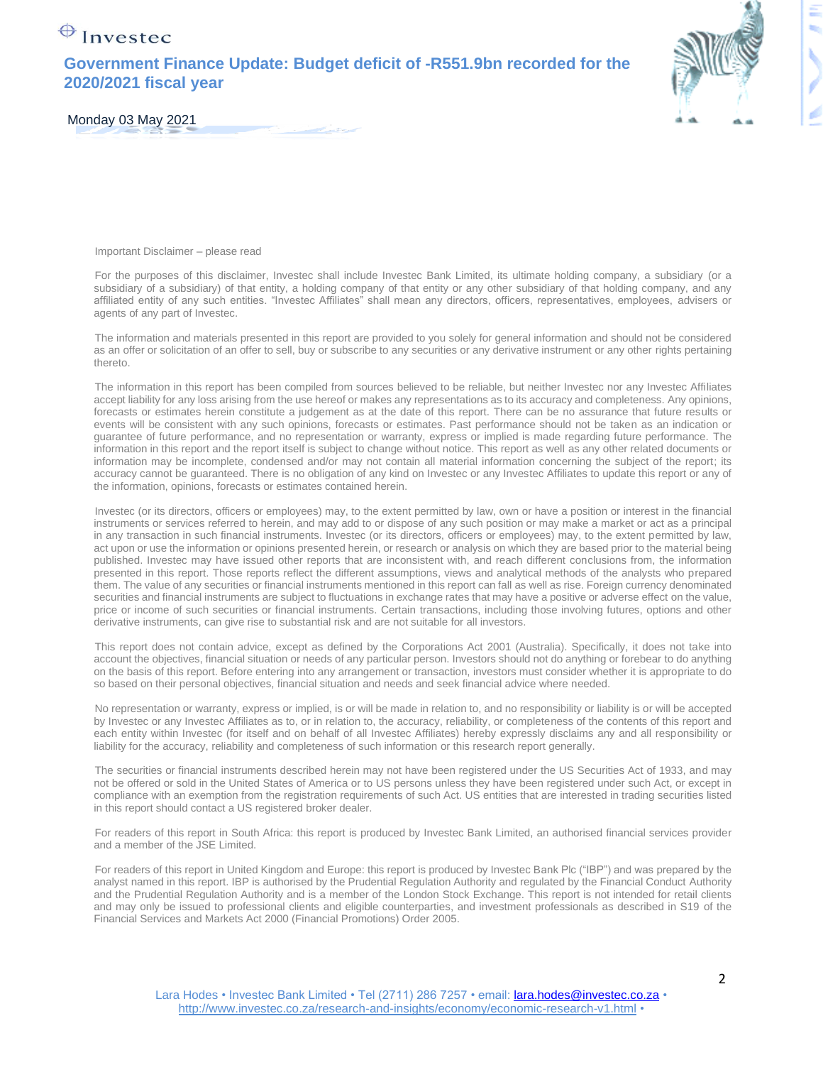### **Government Finance Update: Budget deficit of -R551.9bn recorded for the 2020/2021 fiscal year**



Monday 03 May 2021

Important Disclaimer – please read

For the purposes of this disclaimer, Investec shall include Investec Bank Limited, its ultimate holding company, a subsidiary (or a subsidiary of a subsidiary) of that entity, a holding company of that entity or any other subsidiary of that holding company, and any affiliated entity of any such entities. "Investec Affiliates" shall mean any directors, officers, representatives, employees, advisers or agents of any part of Investec.

The information and materials presented in this report are provided to you solely for general information and should not be considered as an offer or solicitation of an offer to sell, buy or subscribe to any securities or any derivative instrument or any other rights pertaining thereto.

The information in this report has been compiled from sources believed to be reliable, but neither Investec nor any Investec Affiliates accept liability for any loss arising from the use hereof or makes any representations as to its accuracy and completeness. Any opinions, forecasts or estimates herein constitute a judgement as at the date of this report. There can be no assurance that future results or events will be consistent with any such opinions, forecasts or estimates. Past performance should not be taken as an indication or guarantee of future performance, and no representation or warranty, express or implied is made regarding future performance. The information in this report and the report itself is subject to change without notice. This report as well as any other related documents or information may be incomplete, condensed and/or may not contain all material information concerning the subject of the report; its accuracy cannot be guaranteed. There is no obligation of any kind on Investec or any Investec Affiliates to update this report or any of the information, opinions, forecasts or estimates contained herein.

Investec (or its directors, officers or employees) may, to the extent permitted by law, own or have a position or interest in the financial instruments or services referred to herein, and may add to or dispose of any such position or may make a market or act as a principal in any transaction in such financial instruments. Investec (or its directors, officers or employees) may, to the extent permitted by law, act upon or use the information or opinions presented herein, or research or analysis on which they are based prior to the material being published. Investec may have issued other reports that are inconsistent with, and reach different conclusions from, the information presented in this report. Those reports reflect the different assumptions, views and analytical methods of the analysts who prepared them. The value of any securities or financial instruments mentioned in this report can fall as well as rise. Foreign currency denominated securities and financial instruments are subject to fluctuations in exchange rates that may have a positive or adverse effect on the value, price or income of such securities or financial instruments. Certain transactions, including those involving futures, options and other derivative instruments, can give rise to substantial risk and are not suitable for all investors.

This report does not contain advice, except as defined by the Corporations Act 2001 (Australia). Specifically, it does not take into account the objectives, financial situation or needs of any particular person. Investors should not do anything or forebear to do anything on the basis of this report. Before entering into any arrangement or transaction, investors must consider whether it is appropriate to do so based on their personal objectives, financial situation and needs and seek financial advice where needed.

No representation or warranty, express or implied, is or will be made in relation to, and no responsibility or liability is or will be accepted by Investec or any Investec Affiliates as to, or in relation to, the accuracy, reliability, or completeness of the contents of this report and each entity within Investec (for itself and on behalf of all Investec Affiliates) hereby expressly disclaims any and all responsibility or liability for the accuracy, reliability and completeness of such information or this research report generally.

The securities or financial instruments described herein may not have been registered under the US Securities Act of 1933, and may not be offered or sold in the United States of America or to US persons unless they have been registered under such Act, or except in compliance with an exemption from the registration requirements of such Act. US entities that are interested in trading securities listed in this report should contact a US registered broker dealer.

For readers of this report in South Africa: this report is produced by Investec Bank Limited, an authorised financial services provider and a member of the JSE Limited.

For readers of this report in United Kingdom and Europe: this report is produced by Investec Bank Plc ("IBP") and was prepared by the analyst named in this report. IBP is authorised by the Prudential Regulation Authority and regulated by the Financial Conduct Authority and the Prudential Regulation Authority and is a member of the London Stock Exchange. This report is not intended for retail clients and may only be issued to professional clients and eligible counterparties, and investment professionals as described in S19 of the Financial Services and Markets Act 2000 (Financial Promotions) Order 2005.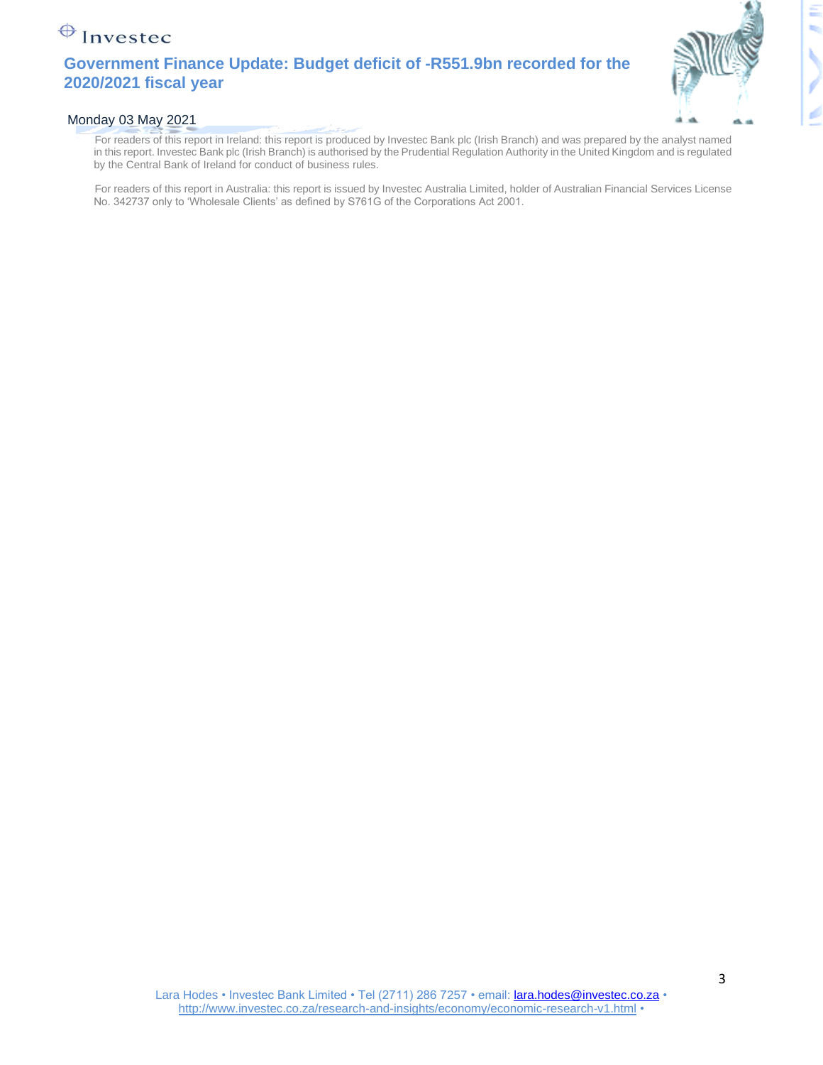### **Government Finance Update: Budget deficit of -R551.9bn recorded for the 2020/2021 fiscal year**



#### Monday 03 May 2021

For readers of this report in Ireland: this report is produced by Investec Bank plc (Irish Branch) and was prepared by the analyst named in this report. Investec Bank plc (Irish Branch) is authorised by the Prudential Regulation Authority in the United Kingdom and is regulated by the Central Bank of Ireland for conduct of business rules.

For readers of this report in Australia: this report is issued by Investec Australia Limited, holder of Australian Financial Services License No. 342737 only to 'Wholesale Clients' as defined by S761G of the Corporations Act 2001.